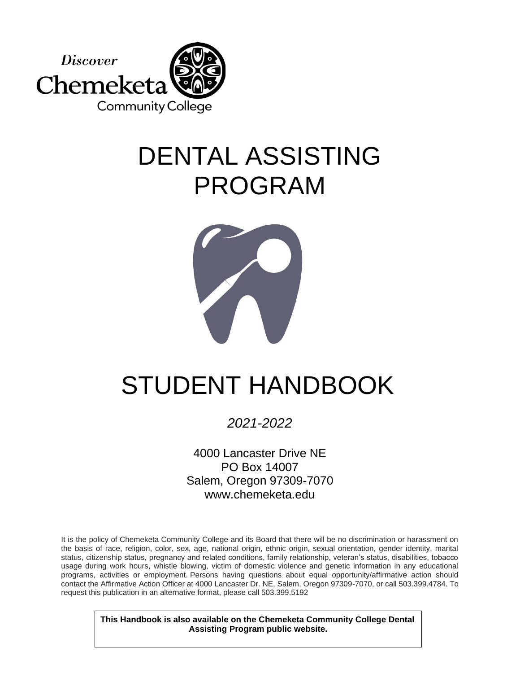

## DENTAL ASSISTING PROGRAM



# STUDENT HANDBOOK

*2021-2022*

4000 Lancaster Drive NE PO Box 14007 Salem, Oregon 97309-7070 www.chemeketa.edu

It is the policy of Chemeketa Community College and its Board that there will be no discrimination or harassment on the basis of race, religion, color, sex, age, national origin, ethnic origin, sexual orientation, gender identity, marital status, citizenship status, pregnancy and related conditions, family relationship, veteran's status, disabilities, tobacco usage during work hours, whistle blowing, victim of domestic violence and genetic information in any educational programs, activities or employment. Persons having questions about equal opportunity/affirmative action should contact the Affirmative Action Officer at 4000 Lancaster Dr. NE, Salem, Oregon 97309-7070, or call 503.399.4784. To request this publication in an alternative format, please call 503.399.5192

 **This Handbook is also available on the Chemeketa Community College Dental Assisting Program public website.**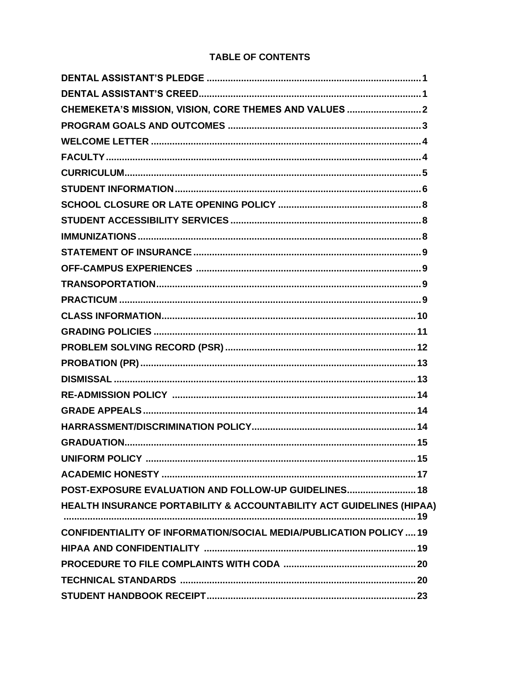#### **TABLE OF CONTENTS**

| CHEMEKETA'S MISSION, VISION, CORE THEMES AND VALUES  2                    |
|---------------------------------------------------------------------------|
|                                                                           |
|                                                                           |
|                                                                           |
|                                                                           |
|                                                                           |
|                                                                           |
|                                                                           |
|                                                                           |
|                                                                           |
|                                                                           |
|                                                                           |
|                                                                           |
|                                                                           |
|                                                                           |
|                                                                           |
|                                                                           |
|                                                                           |
|                                                                           |
|                                                                           |
|                                                                           |
|                                                                           |
|                                                                           |
|                                                                           |
| POST-EXPOSURE EVALUATION AND FOLLOW-UP GUIDELINES 18                      |
| HEALTH INSURANCE PORTABILITY & ACCOUNTABILITY ACT GUIDELINES (HIPAA)      |
| <b>CONFIDENTIALITY OF INFORMATION/SOCIAL MEDIA/PUBLICATION POLICY  19</b> |
|                                                                           |
|                                                                           |
|                                                                           |
|                                                                           |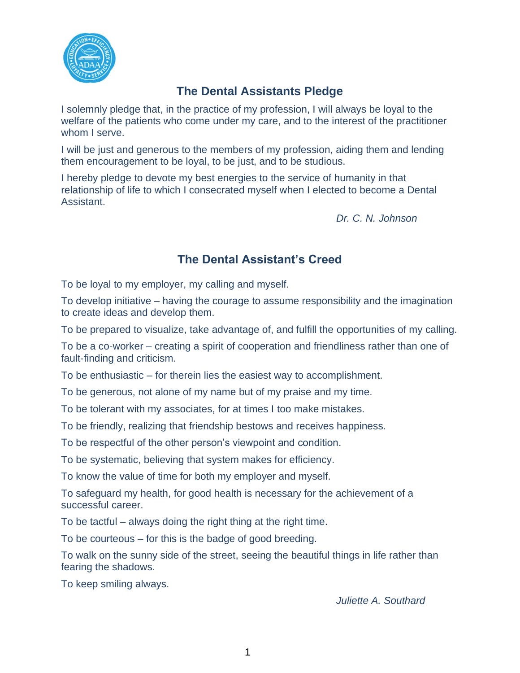

## **The Dental Assistants Pledge**

I solemnly pledge that, in the practice of my profession, I will always be loyal to the welfare of the patients who come under my care, and to the interest of the practitioner whom I serve.

I will be just and generous to the members of my profession, aiding them and lending them encouragement to be loyal, to be just, and to be studious.

I hereby pledge to devote my best energies to the service of humanity in that relationship of life to which I consecrated myself when I elected to become a Dental Assistant.

*Dr. C. N. Johnson*

## **The Dental Assistant's Creed**

To be loyal to my employer, my calling and myself.

To develop initiative – having the courage to assume responsibility and the imagination to create ideas and develop them.

To be prepared to visualize, take advantage of, and fulfill the opportunities of my calling.

To be a co-worker – creating a spirit of cooperation and friendliness rather than one of fault‐finding and criticism.

To be enthusiastic – for therein lies the easiest way to accomplishment.

To be generous, not alone of my name but of my praise and my time.

To be tolerant with my associates, for at times I too make mistakes.

To be friendly, realizing that friendship bestows and receives happiness.

To be respectful of the other person's viewpoint and condition.

To be systematic, believing that system makes for efficiency.

To know the value of time for both my employer and myself.

To safeguard my health, for good health is necessary for the achievement of a successful career.

To be tactful – always doing the right thing at the right time.

To be courteous – for this is the badge of good breeding.

To walk on the sunny side of the street, seeing the beautiful things in life rather than fearing the shadows.

To keep smiling always.

*Juliette A. Southard*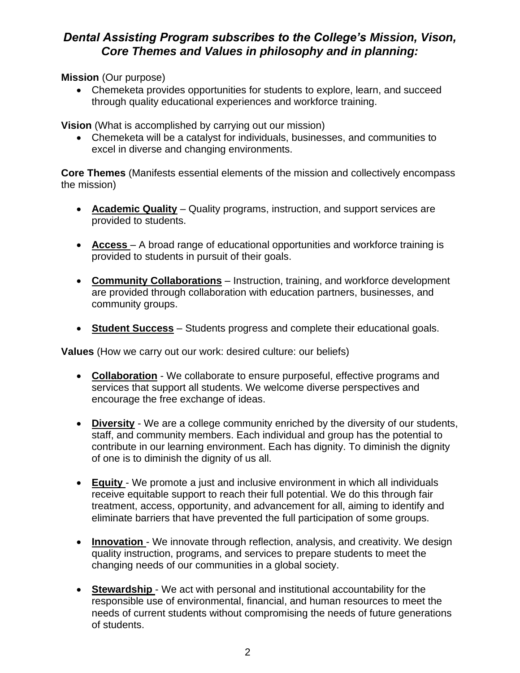## *Dental Assisting Program subscribes to the College's Mission, Vison, Core Themes and Values in philosophy and in planning:*

**Mission** (Our purpose)

• Chemeketa provides opportunities for students to explore, learn, and succeed through quality educational experiences and workforce training.

**Vision** (What is accomplished by carrying out our mission)

• Chemeketa will be a catalyst for individuals, businesses, and communities to excel in diverse and changing environments.

**Core Themes** (Manifests essential elements of the mission and collectively encompass the mission)

- **Academic Quality** Quality programs, instruction, and support services are provided to students.
- **Access** A broad range of educational opportunities and workforce training is provided to students in pursuit of their goals.
- **Community Collaborations** Instruction, training, and workforce development are provided through collaboration with education partners, businesses, and community groups.
- **Student Success** Students progress and complete their educational goals.

**Values** (How we carry out our work: desired culture: our beliefs)

- **Collaboration** We collaborate to ensure purposeful, effective programs and services that support all students. We welcome diverse perspectives and encourage the free exchange of ideas.
- **Diversity** We are a college community enriched by the diversity of our students, staff, and community members. Each individual and group has the potential to contribute in our learning environment. Each has dignity. To diminish the dignity of one is to diminish the dignity of us all.
- **Equity** We promote a just and inclusive environment in which all individuals receive equitable support to reach their full potential. We do this through fair treatment, access, opportunity, and advancement for all, aiming to identify and eliminate barriers that have prevented the full participation of some groups.
- **Innovation** We innovate through reflection, analysis, and creativity. We design quality instruction, programs, and services to prepare students to meet the changing needs of our communities in a global society.
- **Stewardship** We act with personal and institutional accountability for the responsible use of environmental, financial, and human resources to meet the needs of current students without compromising the needs of future generations of students.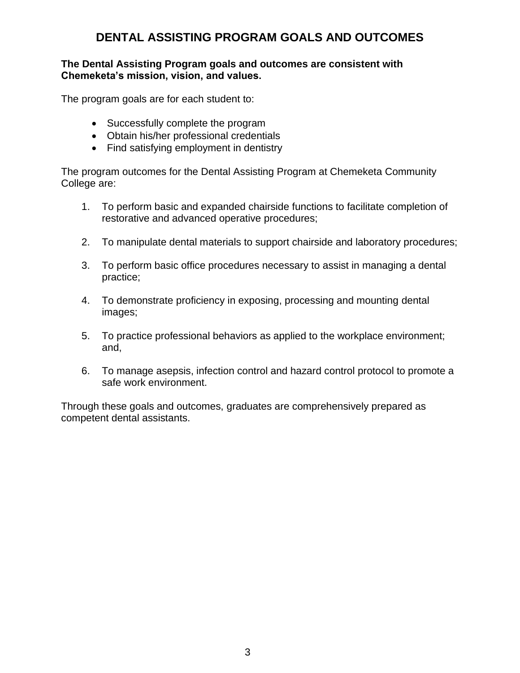## **DENTAL ASSISTING PROGRAM GOALS AND OUTCOMES**

#### **The Dental Assisting Program goals and outcomes are consistent with Chemeketa's mission, vision, and values.**

The program goals are for each student to:

- Successfully complete the program
- Obtain his/her professional credentials
- Find satisfying employment in dentistry

The program outcomes for the Dental Assisting Program at Chemeketa Community College are:

- 1. To perform basic and expanded chairside functions to facilitate completion of restorative and advanced operative procedures;
- 2. To manipulate dental materials to support chairside and laboratory procedures;
- 3. To perform basic office procedures necessary to assist in managing a dental practice;
- 4. To demonstrate proficiency in exposing, processing and mounting dental images;
- 5. To practice professional behaviors as applied to the workplace environment; and,
- 6. To manage asepsis, infection control and hazard control protocol to promote a safe work environment.

Through these goals and outcomes, graduates are comprehensively prepared as competent dental assistants.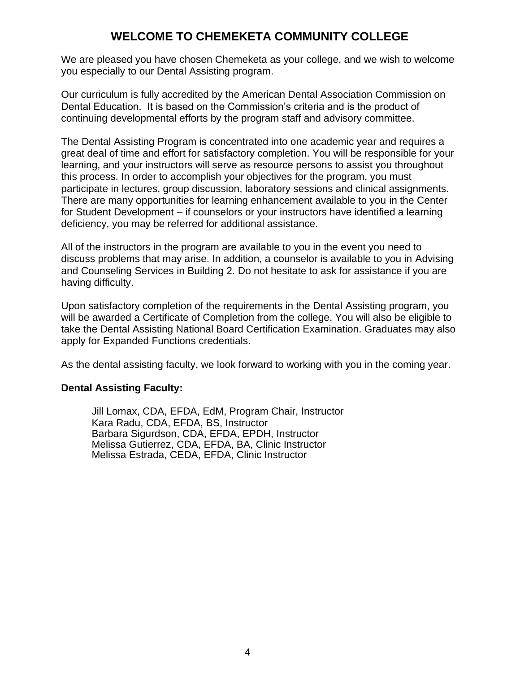## **WELCOME TO CHEMEKETA COMMUNITY COLLEGE**

We are pleased you have chosen Chemeketa as your college, and we wish to welcome you especially to our Dental Assisting program.

Our curriculum is fully accredited by the American Dental Association Commission on Dental Education. It is based on the Commission's criteria and is the product of continuing developmental efforts by the program staff and advisory committee.

The Dental Assisting Program is concentrated into one academic year and requires a great deal of time and effort for satisfactory completion. You will be responsible for your learning, and your instructors will serve as resource persons to assist you throughout this process. In order to accomplish your objectives for the program, you must participate in lectures, group discussion, laboratory sessions and clinical assignments. There are many opportunities for learning enhancement available to you in the Center for Student Development – if counselors or your instructors have identified a learning deficiency, you may be referred for additional assistance.

All of the instructors in the program are available to you in the event you need to discuss problems that may arise. In addition, a counselor is available to you in Advising and Counseling Services in Building 2. Do not hesitate to ask for assistance if you are having difficulty.

Upon satisfactory completion of the requirements in the Dental Assisting program, you will be awarded a Certificate of Completion from the college. You will also be eligible to take the Dental Assisting National Board Certification Examination. Graduates may also apply for Expanded Functions credentials.

As the dental assisting faculty, we look forward to working with you in the coming year.

#### **Dental Assisting Faculty:**

Jill Lomax, CDA, EFDA, EdM, Program Chair, Instructor Kara Radu, CDA, EFDA, BS, Instructor Barbara Sigurdson, CDA, EFDA, EPDH, Instructor Melissa Gutierrez, CDA, EFDA, BA, Clinic Instructor Melissa Estrada, CEDA, EFDA, Clinic Instructor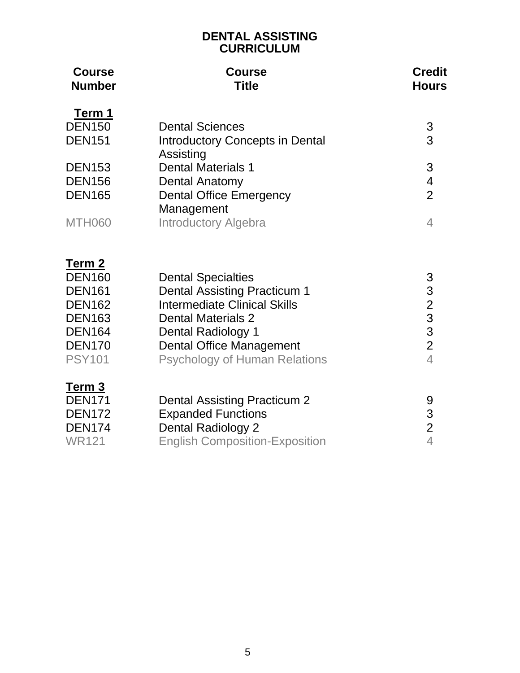## **DENTAL ASSISTING CURRICULUM**

| <b>Course</b><br><b>Number</b> | <b>Course</b><br><b>Title</b>          | <b>Credit</b><br><b>Hours</b>                       |
|--------------------------------|----------------------------------------|-----------------------------------------------------|
| <u>Term 1</u>                  |                                        |                                                     |
| <b>DEN150</b>                  | <b>Dental Sciences</b>                 | 3                                                   |
| <b>DEN151</b>                  | <b>Introductory Concepts in Dental</b> | 3                                                   |
|                                | Assisting                              |                                                     |
| <b>DEN153</b>                  | <b>Dental Materials 1</b>              | $\mathfrak{S}$                                      |
| <b>DEN156</b>                  | <b>Dental Anatomy</b>                  | $\overline{\mathcal{A}}$                            |
| <b>DEN165</b>                  | <b>Dental Office Emergency</b>         | $\overline{2}$                                      |
|                                | Management                             |                                                     |
| <b>MTH060</b>                  | <b>Introductory Algebra</b>            | $\overline{4}$                                      |
| Term 2                         |                                        |                                                     |
| <b>DEN160</b>                  | <b>Dental Specialties</b>              | 3                                                   |
| <b>DEN161</b>                  | <b>Dental Assisting Practicum 1</b>    |                                                     |
| <b>DEN162</b>                  | <b>Intermediate Clinical Skills</b>    | $\begin{array}{c}\n 3 \\ 2 \\ 3 \\ 2\n \end{array}$ |
| <b>DEN163</b>                  | <b>Dental Materials 2</b>              |                                                     |
| <b>DEN164</b>                  | <b>Dental Radiology 1</b>              |                                                     |
| <b>DEN170</b>                  | <b>Dental Office Management</b>        |                                                     |
| <b>PSY101</b>                  | <b>Psychology of Human Relations</b>   | $\overline{4}$                                      |
| Term 3                         |                                        |                                                     |
| <b>DEN171</b>                  | <b>Dental Assisting Practicum 2</b>    | 9                                                   |
| <b>DEN172</b>                  | <b>Expanded Functions</b>              | 3                                                   |
| <b>DEN174</b>                  | <b>Dental Radiology 2</b>              | $\overline{2}$                                      |
| <b>WR121</b>                   | <b>English Composition-Exposition</b>  | $\overline{4}$                                      |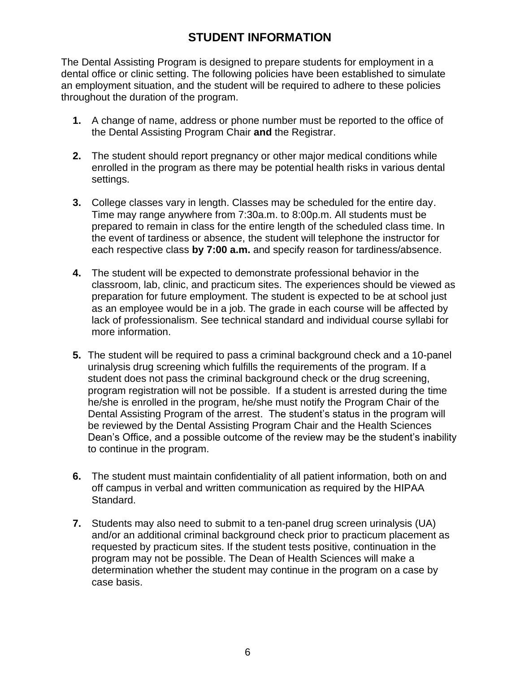## **STUDENT INFORMATION**

The Dental Assisting Program is designed to prepare students for employment in a dental office or clinic setting. The following policies have been established to simulate an employment situation, and the student will be required to adhere to these policies throughout the duration of the program.

- **1.** A change of name, address or phone number must be reported to the office of the Dental Assisting Program Chair **and** the Registrar.
- **2.** The student should report pregnancy or other major medical conditions while enrolled in the program as there may be potential health risks in various dental settings.
- **3.** College classes vary in length. Classes may be scheduled for the entire day. Time may range anywhere from 7:30a.m. to 8:00p.m. All students must be prepared to remain in class for the entire length of the scheduled class time. In the event of tardiness or absence, the student will telephone the instructor for each respective class **by 7:00 a.m.** and specify reason for tardiness/absence.
- **4.** The student will be expected to demonstrate professional behavior in the classroom, lab, clinic, and practicum sites. The experiences should be viewed as preparation for future employment. The student is expected to be at school just as an employee would be in a job. The grade in each course will be affected by lack of professionalism. See technical standard and individual course syllabi for more information.
- **5.** The student will be required to pass a criminal background check and a 10-panel urinalysis drug screening which fulfills the requirements of the program. If a student does not pass the criminal background check or the drug screening, program registration will not be possible. If a student is arrested during the time he/she is enrolled in the program, he/she must notify the Program Chair of the Dental Assisting Program of the arrest. The student's status in the program will be reviewed by the Dental Assisting Program Chair and the Health Sciences Dean's Office, and a possible outcome of the review may be the student's inability to continue in the program.
- **6.** The student must maintain confidentiality of all patient information, both on and off campus in verbal and written communication as required by the HIPAA Standard.
- **7.** Students may also need to submit to a ten-panel drug screen urinalysis (UA) and/or an additional criminal background check prior to practicum placement as requested by practicum sites. If the student tests positive, continuation in the program may not be possible. The Dean of Health Sciences will make a determination whether the student may continue in the program on a case by case basis.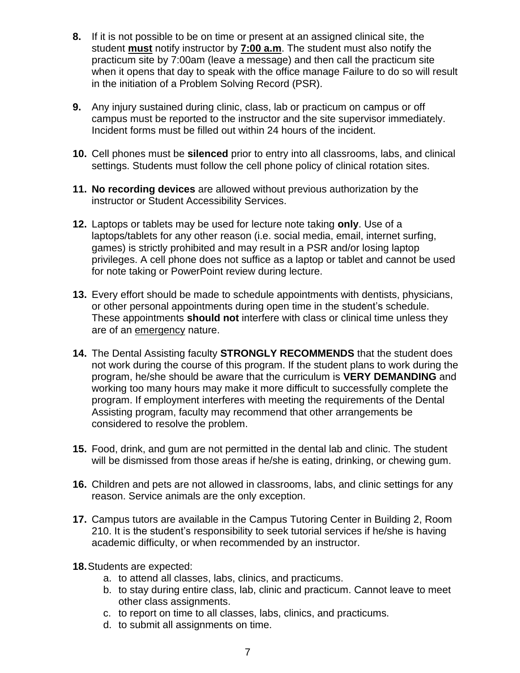- **8.** If it is not possible to be on time or present at an assigned clinical site, the student **must** notify instructor by **7:00 a.m**. The student must also notify the practicum site by 7:00am (leave a message) and then call the practicum site when it opens that day to speak with the office manage Failure to do so will result in the initiation of a Problem Solving Record (PSR).
- **9.** Any injury sustained during clinic, class, lab or practicum on campus or off campus must be reported to the instructor and the site supervisor immediately. Incident forms must be filled out within 24 hours of the incident.
- **10.** Cell phones must be **silenced** prior to entry into all classrooms, labs, and clinical settings. Students must follow the cell phone policy of clinical rotation sites.
- **11. No recording devices** are allowed without previous authorization by the instructor or Student Accessibility Services.
- **12.** Laptops or tablets may be used for lecture note taking **only**. Use of a laptops/tablets for any other reason (i.e. social media, email, internet surfing, games) is strictly prohibited and may result in a PSR and/or losing laptop privileges. A cell phone does not suffice as a laptop or tablet and cannot be used for note taking or PowerPoint review during lecture.
- **13.** Every effort should be made to schedule appointments with dentists, physicians, or other personal appointments during open time in the student's schedule. These appointments **should not** interfere with class or clinical time unless they are of an emergency nature.
- **14.** The Dental Assisting faculty **STRONGLY RECOMMENDS** that the student does not work during the course of this program. If the student plans to work during the program, he/she should be aware that the curriculum is **VERY DEMANDING** and working too many hours may make it more difficult to successfully complete the program. If employment interferes with meeting the requirements of the Dental Assisting program, faculty may recommend that other arrangements be considered to resolve the problem.
- **15.** Food, drink, and gum are not permitted in the dental lab and clinic. The student will be dismissed from those areas if he/she is eating, drinking, or chewing gum.
- **16.** Children and pets are not allowed in classrooms, labs, and clinic settings for any reason. Service animals are the only exception.
- **17.** Campus tutors are available in the Campus Tutoring Center in Building 2, Room 210. It is the student's responsibility to seek tutorial services if he/she is having academic difficulty, or when recommended by an instructor.
- **18.**Students are expected:
	- a. to attend all classes, labs, clinics, and practicums.
	- b. to stay during entire class, lab, clinic and practicum. Cannot leave to meet other class assignments.
	- c. to report on time to all classes, labs, clinics, and practicums.
	- d. to submit all assignments on time.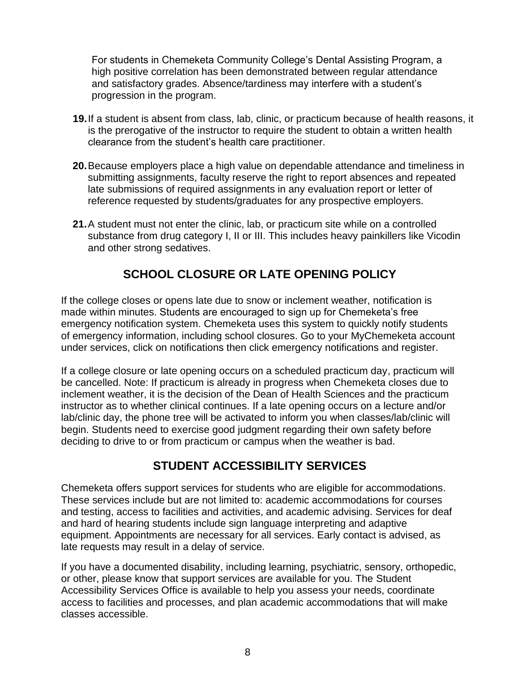For students in Chemeketa Community College's Dental Assisting Program, a high positive correlation has been demonstrated between regular attendance and satisfactory grades. Absence/tardiness may interfere with a student's progression in the program.

- **19.**If a student is absent from class, lab, clinic, or practicum because of health reasons, it is the prerogative of the instructor to require the student to obtain a written health clearance from the student's health care practitioner.
- **20.**Because employers place a high value on dependable attendance and timeliness in submitting assignments, faculty reserve the right to report absences and repeated late submissions of required assignments in any evaluation report or letter of reference requested by students/graduates for any prospective employers.
- **21.**A student must not enter the clinic, lab, or practicum site while on a controlled substance from drug category I, II or III. This includes heavy painkillers like Vicodin and other strong sedatives.

## **SCHOOL CLOSURE OR LATE OPENING POLICY**

If the college closes or opens late due to snow or inclement weather, notification is made within minutes. Students are encouraged to sign up for Chemeketa's free emergency notification system. Chemeketa uses this system to quickly notify students of emergency information, including school closures. Go to your MyChemeketa account under services, click on notifications then click emergency notifications and register.

If a college closure or late opening occurs on a scheduled practicum day, practicum will be cancelled. Note: If practicum is already in progress when Chemeketa closes due to inclement weather, it is the decision of the Dean of Health Sciences and the practicum instructor as to whether clinical continues. If a late opening occurs on a lecture and/or lab/clinic day, the phone tree will be activated to inform you when classes/lab/clinic will begin. Students need to exercise good judgment regarding their own safety before deciding to drive to or from practicum or campus when the weather is bad.

## **STUDENT ACCESSIBILITY SERVICES**

Chemeketa offers support services for students who are eligible for accommodations. These services include but are not limited to: academic accommodations for courses and testing, access to facilities and activities, and academic advising. Services for deaf and hard of hearing students include sign language interpreting and adaptive equipment. Appointments are necessary for all services. Early contact is advised, as late requests may result in a delay of service.

If you have a documented disability, including learning, psychiatric, sensory, orthopedic, or other, please know that support services are available for you. The Student Accessibility Services Office is available to help you assess your needs, coordinate access to facilities and processes, and plan academic accommodations that will make classes accessible.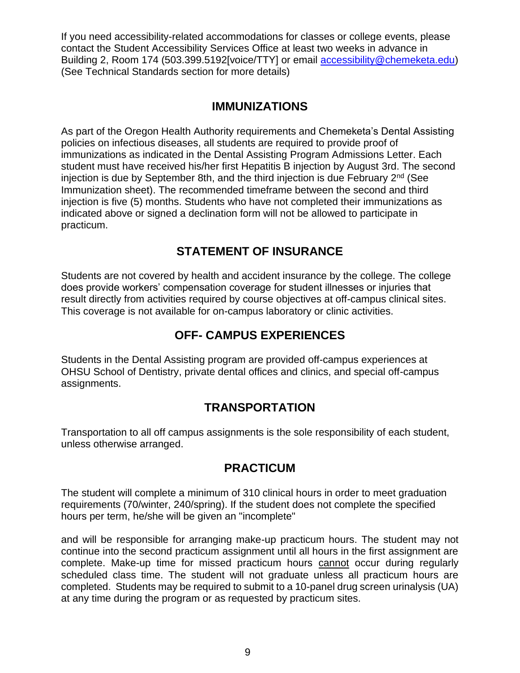If you need accessibility-related accommodations for classes or college events, please contact the Student Accessibility Services Office at least two weeks in advance in Building 2, Room 174 (503.399.5192[voice/TTY] or email **accessibility@chemeketa.edu**) (See Technical Standards section for more details)

## **IMMUNIZATIONS**

As part of the Oregon Health Authority requirements and Chemeketa's Dental Assisting policies on infectious diseases, all students are required to provide proof of immunizations as indicated in the Dental Assisting Program Admissions Letter. Each student must have received his/her first Hepatitis B injection by August 3rd. The second injection is due by September 8th, and the third injection is due February 2<sup>nd</sup> (See Immunization sheet). The recommended timeframe between the second and third injection is five (5) months. Students who have not completed their immunizations as indicated above or signed a declination form will not be allowed to participate in practicum.

## **STATEMENT OF INSURANCE**

Students are not covered by health and accident insurance by the college. The college does provide workers' compensation coverage for student illnesses or injuries that result directly from activities required by course objectives at off-campus clinical sites. This coverage is not available for on-campus laboratory or clinic activities.

## **OFF- CAMPUS EXPERIENCES**

Students in the Dental Assisting program are provided off-campus experiences at OHSU School of Dentistry, private dental offices and clinics, and special off-campus assignments.

## **TRANSPORTATION**

Transportation to all off campus assignments is the sole responsibility of each student, unless otherwise arranged.

## **PRACTICUM**

The student will complete a minimum of 310 clinical hours in order to meet graduation requirements (70/winter, 240/spring). If the student does not complete the specified hours per term, he/she will be given an "incomplete"

and will be responsible for arranging make-up practicum hours. The student may not continue into the second practicum assignment until all hours in the first assignment are complete. Make-up time for missed practicum hours cannot occur during regularly scheduled class time. The student will not graduate unless all practicum hours are completed. Students may be required to submit to a 10-panel drug screen urinalysis (UA) at any time during the program or as requested by practicum sites.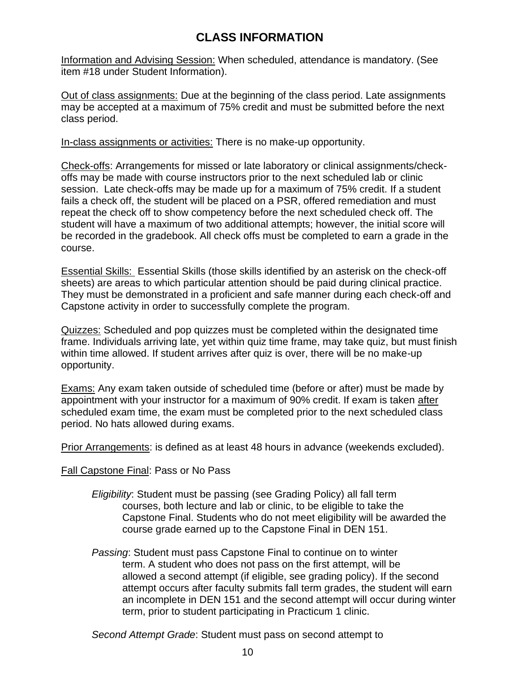## **CLASS INFORMATION**

Information and Advising Session: When scheduled, attendance is mandatory. (See item #18 under Student Information).

Out of class assignments: Due at the beginning of the class period. Late assignments may be accepted at a maximum of 75% credit and must be submitted before the next class period.

In-class assignments or activities: There is no make-up opportunity.

Check-offs: Arrangements for missed or late laboratory or clinical assignments/checkoffs may be made with course instructors prior to the next scheduled lab or clinic session. Late check-offs may be made up for a maximum of 75% credit. If a student fails a check off, the student will be placed on a PSR, offered remediation and must repeat the check off to show competency before the next scheduled check off. The student will have a maximum of two additional attempts; however, the initial score will be recorded in the gradebook. All check offs must be completed to earn a grade in the course.

Essential Skills: Essential Skills (those skills identified by an asterisk on the check-off sheets) are areas to which particular attention should be paid during clinical practice. They must be demonstrated in a proficient and safe manner during each check-off and Capstone activity in order to successfully complete the program.

Quizzes: Scheduled and pop quizzes must be completed within the designated time frame. Individuals arriving late, yet within quiz time frame, may take quiz, but must finish within time allowed. If student arrives after quiz is over, there will be no make-up opportunity.

Exams: Any exam taken outside of scheduled time (before or after) must be made by appointment with your instructor for a maximum of 90% credit. If exam is taken after scheduled exam time, the exam must be completed prior to the next scheduled class period. No hats allowed during exams.

Prior Arrangements: is defined as at least 48 hours in advance (weekends excluded).

Fall Capstone Final: Pass or No Pass

- *Eligibility*: Student must be passing (see Grading Policy) all fall term courses, both lecture and lab or clinic, to be eligible to take the Capstone Final. Students who do not meet eligibility will be awarded the course grade earned up to the Capstone Final in DEN 151.
- *Passing*: Student must pass Capstone Final to continue on to winter term. A student who does not pass on the first attempt, will be allowed a second attempt (if eligible, see grading policy). If the second attempt occurs after faculty submits fall term grades, the student will earn an incomplete in DEN 151 and the second attempt will occur during winter term, prior to student participating in Practicum 1 clinic.

*Second Attempt Grade*: Student must pass on second attempt to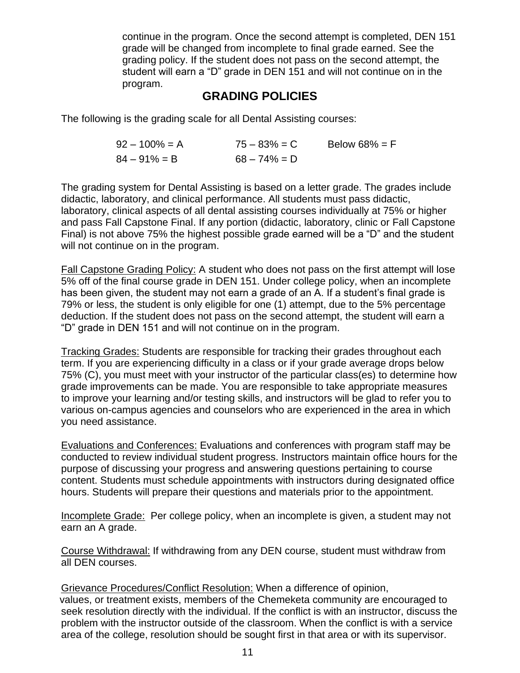continue in the program. Once the second attempt is completed, DEN 151 grade will be changed from incomplete to final grade earned. See the grading policy. If the student does not pass on the second attempt, the student will earn a "D" grade in DEN 151 and will not continue on in the program.

#### **GRADING POLICIES**

The following is the grading scale for all Dental Assisting courses:

| $92 - 100\% = A$ | $75 - 83\% = C$ | Below 68% = $F$ |
|------------------|-----------------|-----------------|
| $84 - 91\% = B$  | $68 - 74\% = D$ |                 |

The grading system for Dental Assisting is based on a letter grade. The grades include didactic, laboratory, and clinical performance. All students must pass didactic, laboratory, clinical aspects of all dental assisting courses individually at 75% or higher and pass Fall Capstone Final. If any portion (didactic, laboratory, clinic or Fall Capstone Final) is not above 75% the highest possible grade earned will be a "D" and the student will not continue on in the program.

Fall Capstone Grading Policy: A student who does not pass on the first attempt will lose 5% off of the final course grade in DEN 151. Under college policy, when an incomplete has been given, the student may not earn a grade of an A. If a student's final grade is 79% or less, the student is only eligible for one (1) attempt, due to the 5% percentage deduction. If the student does not pass on the second attempt, the student will earn a "D" grade in DEN 151 and will not continue on in the program.

Tracking Grades: Students are responsible for tracking their grades throughout each term. If you are experiencing difficulty in a class or if your grade average drops below 75% (C), you must meet with your instructor of the particular class(es) to determine how grade improvements can be made. You are responsible to take appropriate measures to improve your learning and/or testing skills, and instructors will be glad to refer you to various on-campus agencies and counselors who are experienced in the area in which you need assistance.

Evaluations and Conferences: Evaluations and conferences with program staff may be conducted to review individual student progress. Instructors maintain office hours for the purpose of discussing your progress and answering questions pertaining to course content. Students must schedule appointments with instructors during designated office hours. Students will prepare their questions and materials prior to the appointment.

Incomplete Grade: Per college policy, when an incomplete is given, a student may not earn an A grade.

Course Withdrawal: If withdrawing from any DEN course, student must withdraw from all DEN courses.

Grievance Procedures/Conflict Resolution: When a difference of opinion, values, or treatment exists, members of the Chemeketa community are encouraged to seek resolution directly with the individual. If the conflict is with an instructor, discuss the problem with the instructor outside of the classroom. When the conflict is with a service area of the college, resolution should be sought first in that area or with its supervisor.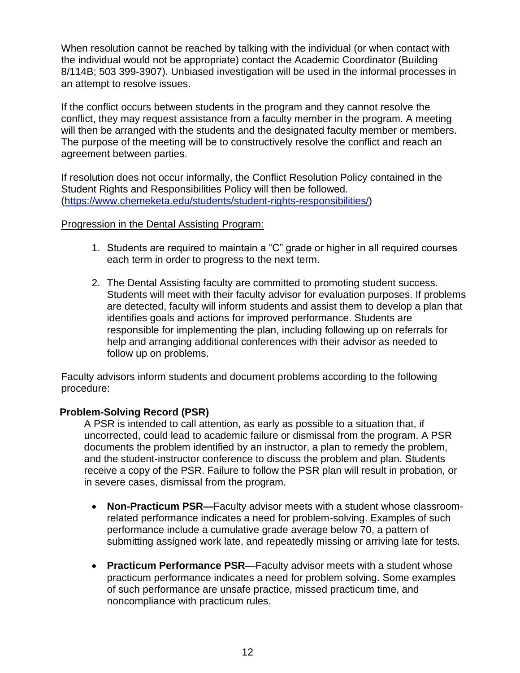When resolution cannot be reached by talking with the individual (or when contact with the individual would not be appropriate) contact the Academic Coordinator (Building 8/114B; 503 399-3907). Unbiased investigation will be used in the informal processes in an attempt to resolve issues.

If the conflict occurs between students in the program and they cannot resolve the conflict, they may request assistance from a faculty member in the program. A meeting will then be arranged with the students and the designated faculty member or members. The purpose of the meeting will be to constructively resolve the conflict and reach an agreement between parties.

If resolution does not occur informally, the Conflict Resolution Policy contained in the Student Rights and Responsibilities Policy will then be followed. [\(https://www.chemeketa.edu/students/student-rights-responsibilities/\)](https://www.chemeketa.edu/students/student-rights-responsibilities/)

#### Progression in the Dental Assisting Program:

- 1. Students are required to maintain a "C" grade or higher in all required courses each term in order to progress to the next term.
- 2. The Dental Assisting faculty are committed to promoting student success. Students will meet with their faculty advisor for evaluation purposes. If problems are detected, faculty will inform students and assist them to develop a plan that identifies goals and actions for improved performance. Students are responsible for implementing the plan, including following up on referrals for help and arranging additional conferences with their advisor as needed to follow up on problems.

Faculty advisors inform students and document problems according to the following procedure:

#### **Problem-Solving Record (PSR)**

A PSR is intended to call attention, as early as possible to a situation that, if uncorrected, could lead to academic failure or dismissal from the program. A PSR documents the problem identified by an instructor, a plan to remedy the problem, and the student-instructor conference to discuss the problem and plan. Students receive a copy of the PSR. Failure to follow the PSR plan will result in probation, or in severe cases, dismissal from the program.

- **Non-Practicum PSR—**Faculty advisor meets with a student whose classroomrelated performance indicates a need for problem-solving. Examples of such performance include a cumulative grade average below 70, a pattern of submitting assigned work late, and repeatedly missing or arriving late for tests.
- **Practicum Performance PSR**—Faculty advisor meets with a student whose practicum performance indicates a need for problem solving. Some examples of such performance are unsafe practice, missed practicum time, and noncompliance with practicum rules.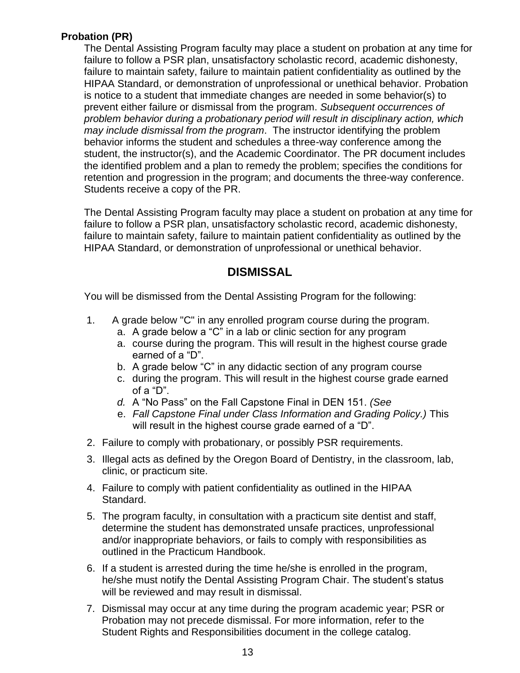#### **Probation (PR)**

The Dental Assisting Program faculty may place a student on probation at any time for failure to follow a PSR plan, unsatisfactory scholastic record, academic dishonesty, failure to maintain safety, failure to maintain patient confidentiality as outlined by the HIPAA Standard, or demonstration of unprofessional or unethical behavior. Probation is notice to a student that immediate changes are needed in some behavior(s) to prevent either failure or dismissal from the program. *Subsequent occurrences of problem behavior during a probationary period will result in disciplinary action, which may include dismissal from the program*. The instructor identifying the problem behavior informs the student and schedules a three-way conference among the student, the instructor(s), and the Academic Coordinator. The PR document includes the identified problem and a plan to remedy the problem; specifies the conditions for retention and progression in the program; and documents the three-way conference. Students receive a copy of the PR.

The Dental Assisting Program faculty may place a student on probation at any time for failure to follow a PSR plan, unsatisfactory scholastic record, academic dishonesty, failure to maintain safety, failure to maintain patient confidentiality as outlined by the HIPAA Standard, or demonstration of unprofessional or unethical behavior.

## **DISMISSAL**

You will be dismissed from the Dental Assisting Program for the following:

- 1. A grade below "C" in any enrolled program course during the program.
	- a. A grade below a "C" in a lab or clinic section for any program
	- a. course during the program. This will result in the highest course grade earned of a "D".
	- b. A grade below "C" in any didactic section of any program course
	- c. during the program. This will result in the highest course grade earned of a "D".
	- *d.* A "No Pass" on the Fall Capstone Final in DEN 151. *(See*
	- e. *Fall Capstone Final under Class Information and Grading Policy.)* This will result in the highest course grade earned of a "D".
- 2. Failure to comply with probationary, or possibly PSR requirements.
- 3. Illegal acts as defined by the Oregon Board of Dentistry, in the classroom, lab, clinic, or practicum site.
- 4. Failure to comply with patient confidentiality as outlined in the HIPAA Standard.
- 5. The program faculty, in consultation with a practicum site dentist and staff, determine the student has demonstrated unsafe practices, unprofessional and/or inappropriate behaviors, or fails to comply with responsibilities as outlined in the Practicum Handbook.
- 6. If a student is arrested during the time he/she is enrolled in the program, he/she must notify the Dental Assisting Program Chair. The student's status will be reviewed and may result in dismissal.
- 7. Dismissal may occur at any time during the program academic year; PSR or Probation may not precede dismissal. For more information, refer to the Student Rights and Responsibilities document in the college catalog.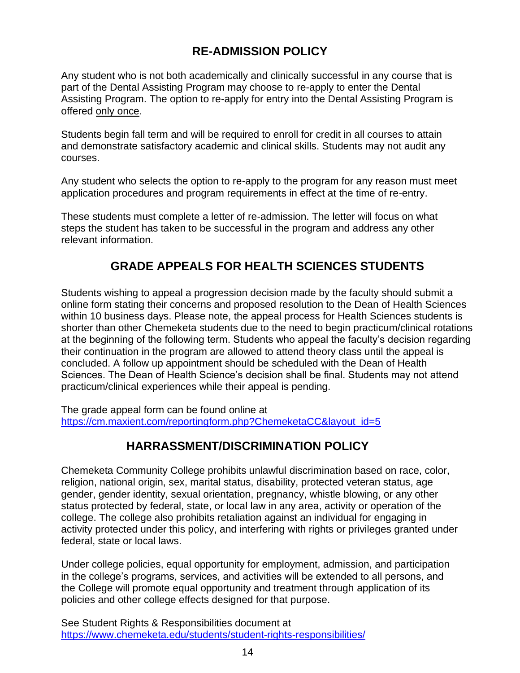## **RE-ADMISSION POLICY**

Any student who is not both academically and clinically successful in any course that is part of the Dental Assisting Program may choose to re-apply to enter the Dental Assisting Program. The option to re-apply for entry into the Dental Assisting Program is offered only once.

Students begin fall term and will be required to enroll for credit in all courses to attain and demonstrate satisfactory academic and clinical skills. Students may not audit any courses.

Any student who selects the option to re-apply to the program for any reason must meet application procedures and program requirements in effect at the time of re-entry.

These students must complete a letter of re-admission. The letter will focus on what steps the student has taken to be successful in the program and address any other relevant information.

## **GRADE APPEALS FOR HEALTH SCIENCES STUDENTS**

Students wishing to appeal a progression decision made by the faculty should submit a online form stating their concerns and proposed resolution to the Dean of Health Sciences within 10 business days. Please note, the appeal process for Health Sciences students is shorter than other Chemeketa students due to the need to begin practicum/clinical rotations at the beginning of the following term. Students who appeal the faculty's decision regarding their continuation in the program are allowed to attend theory class until the appeal is concluded. A follow up appointment should be scheduled with the Dean of Health Sciences. The Dean of Health Science's decision shall be final. Students may not attend practicum/clinical experiences while their appeal is pending.

The grade appeal form can be found online at [https://cm.maxient.com/reportingform.php?ChemeketaCC&layout\\_id=5](https://cm.maxient.com/reportingform.php?ChemeketaCC&layout_id=5)

## **HARRASSMENT/DISCRIMINATION POLICY**

Chemeketa Community College prohibits unlawful discrimination based on race, color, religion, national origin, sex, marital status, disability, protected veteran status, age gender, gender identity, sexual orientation, pregnancy, whistle blowing, or any other status protected by federal, state, or local law in any area, activity or operation of the college. The college also prohibits retaliation against an individual for engaging in activity protected under this policy, and interfering with rights or privileges granted under federal, state or local laws.

Under college policies, equal opportunity for employment, admission, and participation in the college's programs, services, and activities will be extended to all persons, and the College will promote equal opportunity and treatment through application of its policies and other college effects designed for that purpose.

See Student Rights & Responsibilities document at <https://www.chemeketa.edu/students/student-rights-responsibilities/>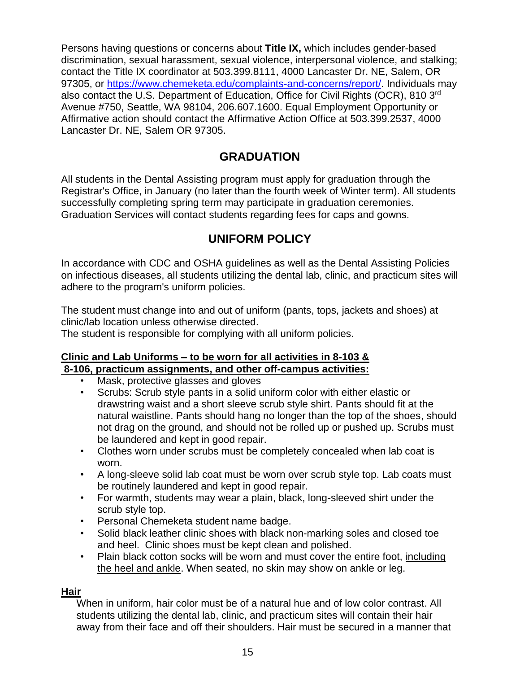Persons having questions or concerns about **Title IX,** which includes gender-based discrimination, sexual harassment, sexual violence, interpersonal violence, and stalking; contact the Title IX coordinator at 503.399.8111, 4000 Lancaster Dr. NE, Salem, OR 97305, or [https://www.chemeketa.edu/complaints-and-concerns/report/.](https://www.chemeketa.edu/complaints-and-concerns/report/) Individuals may also contact the U.S. Department of Education, Office for Civil Rights (OCR), 810 3rd Avenue #750, Seattle, WA 98104, 206.607.1600. Equal Employment Opportunity or Affirmative action should contact the Affirmative Action Office at 503.399.2537, 4000 Lancaster Dr. NE, Salem OR 97305.

## **GRADUATION**

All students in the Dental Assisting program must apply for graduation through the Registrar's Office, in January (no later than the fourth week of Winter term). All students successfully completing spring term may participate in graduation ceremonies. Graduation Services will contact students regarding fees for caps and gowns.

## **UNIFORM POLICY**

In accordance with CDC and OSHA guidelines as well as the Dental Assisting Policies on infectious diseases, all students utilizing the dental lab, clinic, and practicum sites will adhere to the program's uniform policies.

The student must change into and out of uniform (pants, tops, jackets and shoes) at clinic/lab location unless otherwise directed.

The student is responsible for complying with all uniform policies.

#### **Clinic and Lab Uniforms – to be worn for all activities in 8-103 & 8-106, practicum assignments, and other off-campus activities:**

- Mask, protective glasses and gloves
- Scrubs: Scrub style pants in a solid uniform color with either elastic or drawstring waist and a short sleeve scrub style shirt. Pants should fit at the natural waistline. Pants should hang no longer than the top of the shoes, should not drag on the ground, and should not be rolled up or pushed up. Scrubs must be laundered and kept in good repair.
- Clothes worn under scrubs must be completely concealed when lab coat is worn.
- A long-sleeve solid lab coat must be worn over scrub style top. Lab coats must be routinely laundered and kept in good repair.
- For warmth, students may wear a plain, black, long-sleeved shirt under the scrub style top.
- Personal Chemeketa student name badge.
- Solid black leather clinic shoes with black non-marking soles and closed toe and heel. Clinic shoes must be kept clean and polished.
- Plain black cotton socks will be worn and must cover the entire foot, including the heel and ankle. When seated, no skin may show on ankle or leg.

#### **Hair**

When in uniform, hair color must be of a natural hue and of low color contrast. All students utilizing the dental lab, clinic, and practicum sites will contain their hair away from their face and off their shoulders. Hair must be secured in a manner that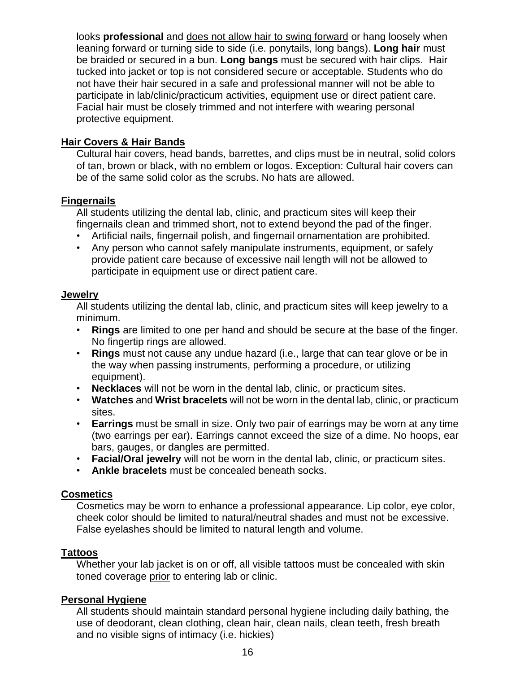looks **professional** and does not allow hair to swing forward or hang loosely when leaning forward or turning side to side (i.e. ponytails, long bangs). **Long hair** must be braided or secured in a bun. **Long bangs** must be secured with hair clips. Hair tucked into jacket or top is not considered secure or acceptable. Students who do not have their hair secured in a safe and professional manner will not be able to participate in lab/clinic/practicum activities, equipment use or direct patient care. Facial hair must be closely trimmed and not interfere with wearing personal protective equipment.

#### **Hair Covers & Hair Bands**

Cultural hair covers, head bands, barrettes, and clips must be in neutral, solid colors of tan, brown or black, with no emblem or logos. Exception: Cultural hair covers can be of the same solid color as the scrubs. No hats are allowed.

#### **Fingernails**

All students utilizing the dental lab, clinic, and practicum sites will keep their fingernails clean and trimmed short, not to extend beyond the pad of the finger.

- Artificial nails, fingernail polish, and fingernail ornamentation are prohibited.
- Any person who cannot safely manipulate instruments, equipment, or safely provide patient care because of excessive nail length will not be allowed to participate in equipment use or direct patient care.

#### **Jewelry**

All students utilizing the dental lab, clinic, and practicum sites will keep jewelry to a minimum.

- **Rings** are limited to one per hand and should be secure at the base of the finger. No fingertip rings are allowed.
- **Rings** must not cause any undue hazard (i.e., large that can tear glove or be in the way when passing instruments, performing a procedure, or utilizing equipment).
- **Necklaces** will not be worn in the dental lab, clinic, or practicum sites.
- **Watches** and **Wrist bracelets** will not be worn in the dental lab, clinic, or practicum sites.
- **Earrings** must be small in size. Only two pair of earrings may be worn at any time (two earrings per ear). Earrings cannot exceed the size of a dime. No hoops, ear bars, gauges, or dangles are permitted.
- **Facial/Oral jewelry** will not be worn in the dental lab, clinic, or practicum sites.
- **Ankle bracelets** must be concealed beneath socks.

#### **Cosmetics**

Cosmetics may be worn to enhance a professional appearance. Lip color, eye color, cheek color should be limited to natural/neutral shades and must not be excessive. False eyelashes should be limited to natural length and volume.

#### **Tattoos**

Whether your lab jacket is on or off, all visible tattoos must be concealed with skin toned coverage prior to entering lab or clinic.

#### **Personal Hygiene**

All students should maintain standard personal hygiene including daily bathing, the use of deodorant, clean clothing, clean hair, clean nails, clean teeth, fresh breath and no visible signs of intimacy (i.e. hickies)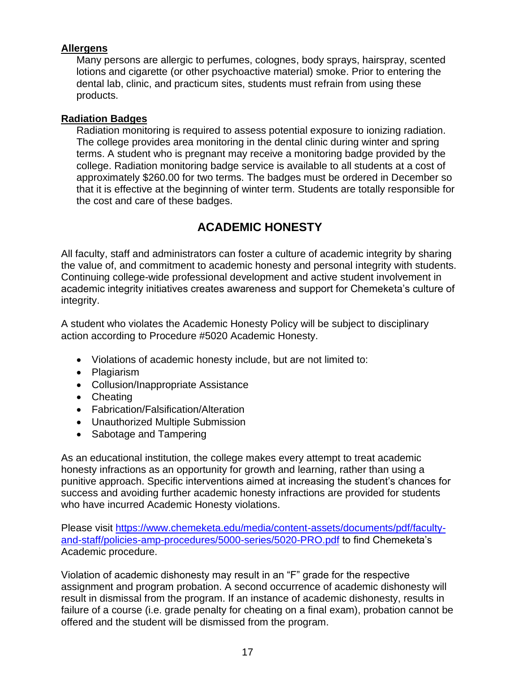#### **Allergens**

Many persons are allergic to perfumes, colognes, body sprays, hairspray, scented lotions and cigarette (or other psychoactive material) smoke. Prior to entering the dental lab, clinic, and practicum sites, students must refrain from using these products.

#### **Radiation Badges**

Radiation monitoring is required to assess potential exposure to ionizing radiation. The college provides area monitoring in the dental clinic during winter and spring terms. A student who is pregnant may receive a monitoring badge provided by the college. Radiation monitoring badge service is available to all students at a cost of approximately \$260.00 for two terms. The badges must be ordered in December so that it is effective at the beginning of winter term. Students are totally responsible for the cost and care of these badges.

## **ACADEMIC HONESTY**

All faculty, staff and administrators can foster a culture of academic integrity by sharing the value of, and commitment to academic honesty and personal integrity with students. Continuing college-wide professional development and active student involvement in academic integrity initiatives creates awareness and support for Chemeketa's culture of integrity.

A student who violates the Academic Honesty Policy will be subject to disciplinary action according to Procedure #5020 Academic Honesty.

- Violations of academic honesty include, but are not limited to:
- Plagiarism
- Collusion/Inappropriate Assistance
- Cheating
- Fabrication/Falsification/Alteration
- Unauthorized Multiple Submission
- Sabotage and Tampering

As an educational institution, the college makes every attempt to treat academic honesty infractions as an opportunity for growth and learning, rather than using a punitive approach. Specific interventions aimed at increasing the student's chances for success and avoiding further academic honesty infractions are provided for students who have incurred Academic Honesty violations.

Please visit [https://www.chemeketa.edu/media/content-assets/documents/pdf/faculty](https://www.chemeketa.edu/media/content-assets/documents/pdf/faculty-and-staff/policies-amp-procedures/5000-series/5020-PRO.pdf)[and-staff/policies-amp-procedures/5000-series/5020-PRO.pdf](https://www.chemeketa.edu/media/content-assets/documents/pdf/faculty-and-staff/policies-amp-procedures/5000-series/5020-PRO.pdf) to find Chemeketa's Academic procedure.

Violation of academic dishonesty may result in an "F" grade for the respective assignment and program probation. A second occurrence of academic dishonesty will result in dismissal from the program. If an instance of academic dishonesty, results in failure of a course (i.e. grade penalty for cheating on a final exam), probation cannot be offered and the student will be dismissed from the program.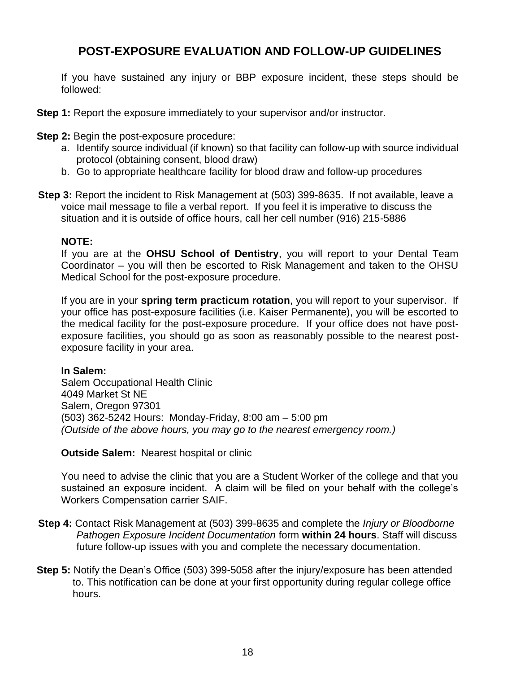## **POST-EXPOSURE EVALUATION AND FOLLOW-UP GUIDELINES**

If you have sustained any injury or BBP exposure incident, these steps should be followed:

- **Step 1:** Report the exposure immediately to your supervisor and/or instructor.
- **Step 2:** Begin the post-exposure procedure:
	- a. Identify source individual (if known) so that facility can follow-up with source individual protocol (obtaining consent, blood draw)
	- b. Go to appropriate healthcare facility for blood draw and follow-up procedures
- **Step 3:** Report the incident to Risk Management at (503) 399-8635. If not available, leave a voice mail message to file a verbal report. If you feel it is imperative to discuss the situation and it is outside of office hours, call her cell number (916) 215-5886

#### **NOTE:**

If you are at the **OHSU School of Dentistry**, you will report to your Dental Team Coordinator – you will then be escorted to Risk Management and taken to the OHSU Medical School for the post-exposure procedure.

If you are in your **spring term practicum rotation**, you will report to your supervisor. If your office has post-exposure facilities (i.e. Kaiser Permanente), you will be escorted to the medical facility for the post-exposure procedure. If your office does not have postexposure facilities, you should go as soon as reasonably possible to the nearest postexposure facility in your area.

#### **In Salem:**

Salem Occupational Health Clinic 4049 Market St NE Salem, Oregon 97301 (503) 362-5242 Hours: Monday-Friday, 8:00 am – 5:00 pm *(Outside of the above hours, you may go to the nearest emergency room.)*

**Outside Salem:** Nearest hospital or clinic

You need to advise the clinic that you are a Student Worker of the college and that you sustained an exposure incident. A claim will be filed on your behalf with the college's Workers Compensation carrier SAIF.

- **Step 4:** Contact Risk Management at (503) 399-8635 and complete the *Injury or Bloodborne Pathogen Exposure Incident Documentation* form **within 24 hours**. Staff will discuss future follow-up issues with you and complete the necessary documentation.
- **Step 5:** Notify the Dean's Office (503) 399-5058 after the injury/exposure has been attended to. This notification can be done at your first opportunity during regular college office hours.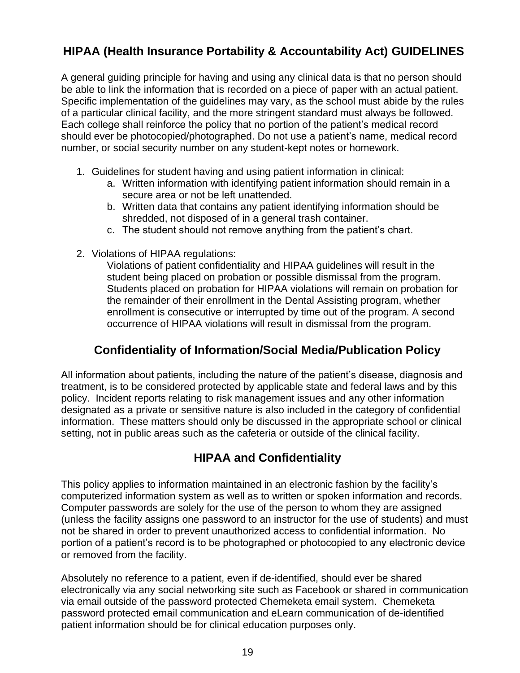## **HIPAA (Health Insurance Portability & Accountability Act) GUIDELINES**

A general guiding principle for having and using any clinical data is that no person should be able to link the information that is recorded on a piece of paper with an actual patient. Specific implementation of the guidelines may vary, as the school must abide by the rules of a particular clinical facility, and the more stringent standard must always be followed. Each college shall reinforce the policy that no portion of the patient's medical record should ever be photocopied/photographed. Do not use a patient's name, medical record number, or social security number on any student-kept notes or homework.

- 1. Guidelines for student having and using patient information in clinical:
	- a. Written information with identifying patient information should remain in a secure area or not be left unattended.
	- b. Written data that contains any patient identifying information should be shredded, not disposed of in a general trash container.
	- c. The student should not remove anything from the patient's chart.
- 2. Violations of HIPAA regulations:

Violations of patient confidentiality and HIPAA guidelines will result in the student being placed on probation or possible dismissal from the program. Students placed on probation for HIPAA violations will remain on probation for the remainder of their enrollment in the Dental Assisting program, whether enrollment is consecutive or interrupted by time out of the program. A second occurrence of HIPAA violations will result in dismissal from the program.

#### **Confidentiality of Information/Social Media/Publication Policy**

All information about patients, including the nature of the patient's disease, diagnosis and treatment, is to be considered protected by applicable state and federal laws and by this policy. Incident reports relating to risk management issues and any other information designated as a private or sensitive nature is also included in the category of confidential information. These matters should only be discussed in the appropriate school or clinical setting, not in public areas such as the cafeteria or outside of the clinical facility.

## **HIPAA and Confidentiality**

This policy applies to information maintained in an electronic fashion by the facility's computerized information system as well as to written or spoken information and records. Computer passwords are solely for the use of the person to whom they are assigned (unless the facility assigns one password to an instructor for the use of students) and must not be shared in order to prevent unauthorized access to confidential information. No portion of a patient's record is to be photographed or photocopied to any electronic device or removed from the facility.

Absolutely no reference to a patient, even if de-identified, should ever be shared electronically via any social networking site such as Facebook or shared in communication via email outside of the password protected Chemeketa email system. Chemeketa password protected email communication and eLearn communication of de-identified patient information should be for clinical education purposes only.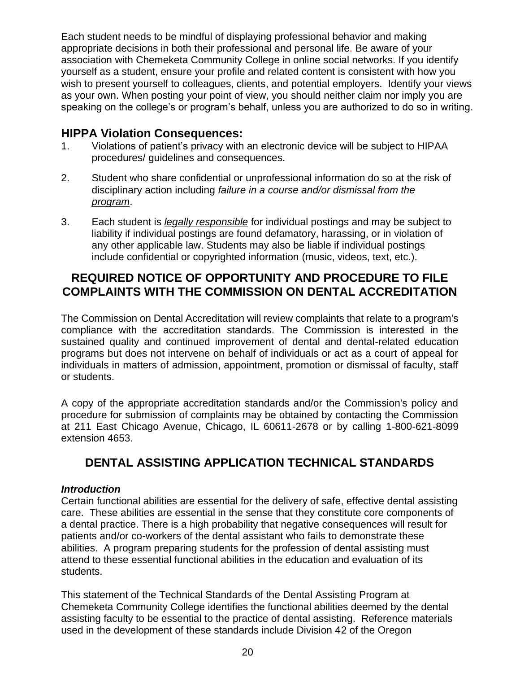Each student needs to be mindful of displaying professional behavior and making appropriate decisions in both their professional and personal life. Be aware of your association with Chemeketa Community College in online social networks. If you identify yourself as a student, ensure your profile and related content is consistent with how you wish to present yourself to colleagues, clients, and potential employers. Identify your views as your own. When posting your point of view, you should neither claim nor imply you are speaking on the college's or program's behalf, unless you are authorized to do so in writing.

### **HIPPA Violation Consequences:**

- 1. Violations of patient's privacy with an electronic device will be subject to HIPAA procedures/ guidelines and consequences.
- 2. Student who share confidential or unprofessional information do so at the risk of disciplinary action including *failure in a course and/or dismissal from the program*.
- 3. Each student is *legally responsible* for individual postings and may be subject to liability if individual postings are found defamatory, harassing, or in violation of any other applicable law. Students may also be liable if individual postings include confidential or copyrighted information (music, videos, text, etc.).

## **REQUIRED NOTICE OF OPPORTUNITY AND PROCEDURE TO FILE COMPLAINTS WITH THE COMMISSION ON DENTAL ACCREDITATION**

The Commission on Dental Accreditation will review complaints that relate to a program's compliance with the accreditation standards. The Commission is interested in the sustained quality and continued improvement of dental and dental-related education programs but does not intervene on behalf of individuals or act as a court of appeal for individuals in matters of admission, appointment, promotion or dismissal of faculty, staff or students.

A copy of the appropriate accreditation standards and/or the Commission's policy and procedure for submission of complaints may be obtained by contacting the Commission at 211 East Chicago Avenue, Chicago, IL 60611-2678 or by calling 1-800-621-8099 extension 4653.

## **DENTAL ASSISTING APPLICATION TECHNICAL STANDARDS**

#### *Introduction*

Certain functional abilities are essential for the delivery of safe, effective dental assisting care. These abilities are essential in the sense that they constitute core components of a dental practice. There is a high probability that negative consequences will result for patients and/or co-workers of the dental assistant who fails to demonstrate these abilities. A program preparing students for the profession of dental assisting must attend to these essential functional abilities in the education and evaluation of its students.

This statement of the Technical Standards of the Dental Assisting Program at Chemeketa Community College identifies the functional abilities deemed by the dental assisting faculty to be essential to the practice of dental assisting. Reference materials used in the development of these standards include Division 42 of the Oregon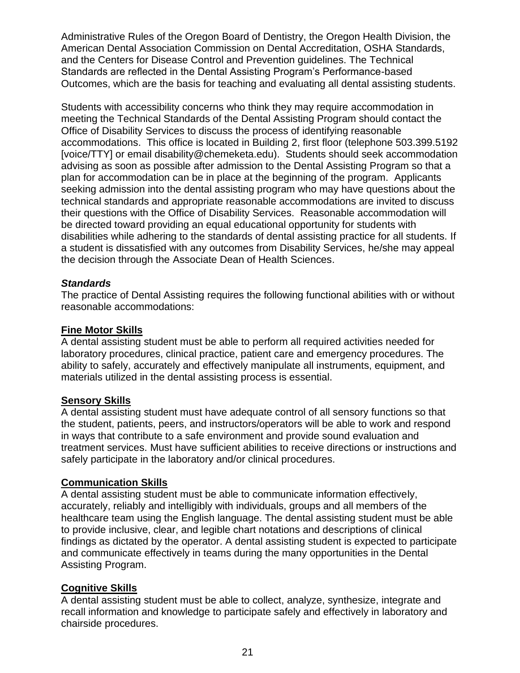Administrative Rules of the Oregon Board of Dentistry, the Oregon Health Division, the American Dental Association Commission on Dental Accreditation, OSHA Standards, and the Centers for Disease Control and Prevention guidelines. The Technical Standards are reflected in the Dental Assisting Program's Performance-based Outcomes, which are the basis for teaching and evaluating all dental assisting students.

Students with accessibility concerns who think they may require accommodation in meeting the Technical Standards of the Dental Assisting Program should contact the Office of Disability Services to discuss the process of identifying reasonable accommodations. This office is located in Building 2, first floor (telephone 503.399.5192 [voice/TTY] or email disability@chemeketa.edu). Students should seek accommodation advising as soon as possible after admission to the Dental Assisting Program so that a plan for accommodation can be in place at the beginning of the program. Applicants seeking admission into the dental assisting program who may have questions about the technical standards and appropriate reasonable accommodations are invited to discuss their questions with the Office of Disability Services. Reasonable accommodation will be directed toward providing an equal educational opportunity for students with disabilities while adhering to the standards of dental assisting practice for all students. If a student is dissatisfied with any outcomes from Disability Services, he/she may appeal the decision through the Associate Dean of Health Sciences.

#### *Standards*

The practice of Dental Assisting requires the following functional abilities with or without reasonable accommodations:

#### **Fine Motor Skills**

A dental assisting student must be able to perform all required activities needed for laboratory procedures, clinical practice, patient care and emergency procedures. The ability to safely, accurately and effectively manipulate all instruments, equipment, and materials utilized in the dental assisting process is essential.

#### **Sensory Skills**

A dental assisting student must have adequate control of all sensory functions so that the student, patients, peers, and instructors/operators will be able to work and respond in ways that contribute to a safe environment and provide sound evaluation and treatment services. Must have sufficient abilities to receive directions or instructions and safely participate in the laboratory and/or clinical procedures.

#### **Communication Skills**

A dental assisting student must be able to communicate information effectively, accurately, reliably and intelligibly with individuals, groups and all members of the healthcare team using the English language. The dental assisting student must be able to provide inclusive, clear, and legible chart notations and descriptions of clinical findings as dictated by the operator. A dental assisting student is expected to participate and communicate effectively in teams during the many opportunities in the Dental Assisting Program.

#### **Cognitive Skills**

A dental assisting student must be able to collect, analyze, synthesize, integrate and recall information and knowledge to participate safely and effectively in laboratory and chairside procedures.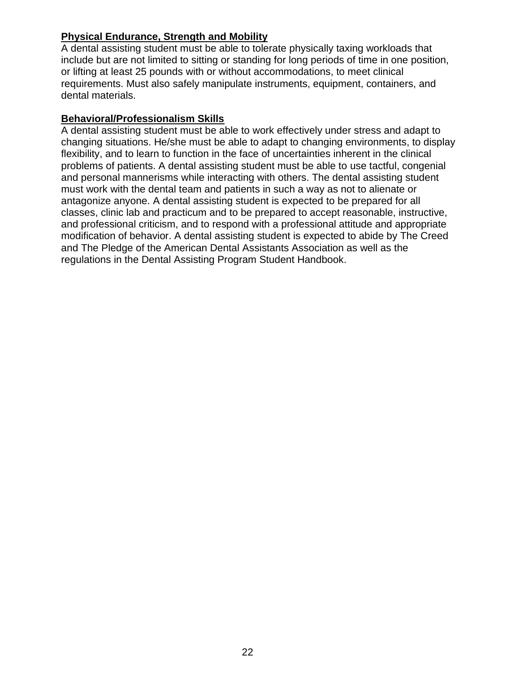#### **Physical Endurance, Strength and Mobility**

A dental assisting student must be able to tolerate physically taxing workloads that include but are not limited to sitting or standing for long periods of time in one position, or lifting at least 25 pounds with or without accommodations, to meet clinical requirements. Must also safely manipulate instruments, equipment, containers, and dental materials.

#### **Behavioral/Professionalism Skills**

A dental assisting student must be able to work effectively under stress and adapt to changing situations. He/she must be able to adapt to changing environments, to display flexibility, and to learn to function in the face of uncertainties inherent in the clinical problems of patients. A dental assisting student must be able to use tactful, congenial and personal mannerisms while interacting with others. The dental assisting student must work with the dental team and patients in such a way as not to alienate or antagonize anyone. A dental assisting student is expected to be prepared for all classes, clinic lab and practicum and to be prepared to accept reasonable, instructive, and professional criticism, and to respond with a professional attitude and appropriate modification of behavior. A dental assisting student is expected to abide by The Creed and The Pledge of the American Dental Assistants Association as well as the regulations in the Dental Assisting Program Student Handbook.